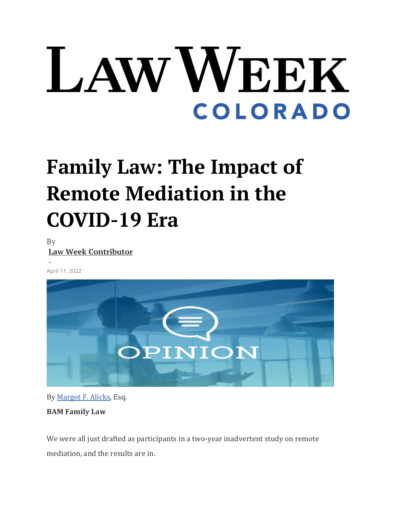## LAW WEEK **COLORADO**

## **Family Law: The Impact of Remote Mediation in the COVID-19 Era**

By **[Law Week Contributor](https://www.lawweekcolorado.com/author/lawweekcontributor/)**

- April 11, 2022



By [Margot F. Alicks,](https://bamfamlaw.com/our-expertise-team/our-team/margot-alicks/) Esq. **BAM Family Law**

We were all just drafted as participants in a two-year inadvertent study on remote mediation, and the results are in.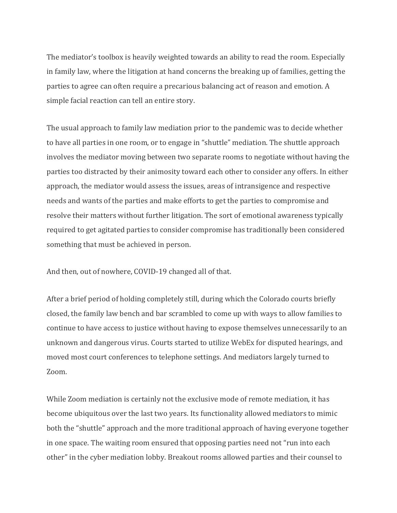The mediator's toolbox is heavily weighted towards an ability to read the room. Especially in family law, where the litigation at hand concerns the breaking up of families, getting the parties to agree can often require a precarious balancing act of reason and emotion. A simple facial reaction can tell an entire story.

The usual approach to family law mediation prior to the pandemic was to decide whether to have all parties in one room, or to engage in "shuttle" mediation. The shuttle approach involves the mediator moving between two separate rooms to negotiate without having the parties too distracted by their animosity toward each other to consider any offers. In either approach, the mediator would assess the issues, areas of intransigence and respective needs and wants of the parties and make efforts to get the parties to compromise and resolve their matters without further litigation. The sort of emotional awareness typically required to get agitated parties to consider compromise has traditionally been considered something that must be achieved in person.

And then, out of nowhere, COVID-19 changed all of that.

After a brief period of holding completely still, during which the Colorado courts briefly closed, the family law bench and bar scrambled to come up with ways to allow families to continue to have access to justice without having to expose themselves unnecessarily to an unknown and dangerous virus. Courts started to utilize WebEx for disputed hearings, and moved most court conferences to telephone settings. And mediators largely turned to Zoom.

While Zoom mediation is certainly not the exclusive mode of remote mediation, it has become ubiquitous over the last two years. Its functionality allowed mediators to mimic both the "shuttle" approach and the more traditional approach of having everyone together in one space. The waiting room ensured that opposing parties need not "run into each other" in the cyber mediation lobby. Breakout rooms allowed parties and their counsel to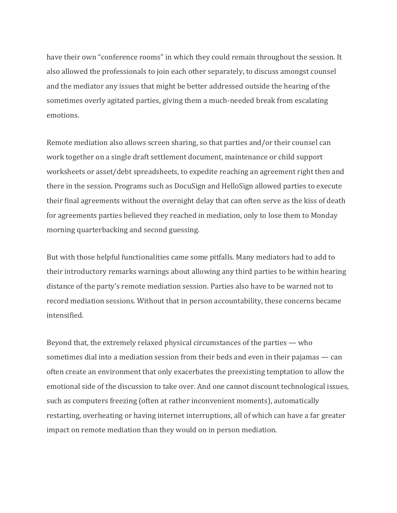have their own "conference rooms" in which they could remain throughout the session. It also allowed the professionals to join each other separately, to discuss amongst counsel and the mediator any issues that might be better addressed outside the hearing of the sometimes overly agitated parties, giving them a much-needed break from escalating emotions.

Remote mediation also allows screen sharing, so that parties and/or their counsel can work together on a single draft settlement document, maintenance or child support worksheets or asset/debt spreadsheets, to expedite reaching an agreement right then and there in the session. Programs such as DocuSign and HelloSign allowed parties to execute their final agreements without the overnight delay that can often serve as the kiss of death for agreements parties believed they reached in mediation, only to lose them to Monday morning quarterbacking and second guessing.

But with those helpful functionalities came some pitfalls. Many mediators had to add to their introductory remarks warnings about allowing any third parties to be within hearing distance of the party's remote mediation session. Parties also have to be warned not to record mediation sessions. Without that in person accountability, these concerns became intensified.

Beyond that, the extremely relaxed physical circumstances of the parties — who sometimes dial into a mediation session from their beds and even in their pajamas — can often create an environment that only exacerbates the preexisting temptation to allow the emotional side of the discussion to take over. And one cannot discount technological issues, such as computers freezing (often at rather inconvenient moments), automatically restarting, overheating or having internet interruptions, all of which can have a far greater impact on remote mediation than they would on in person mediation.